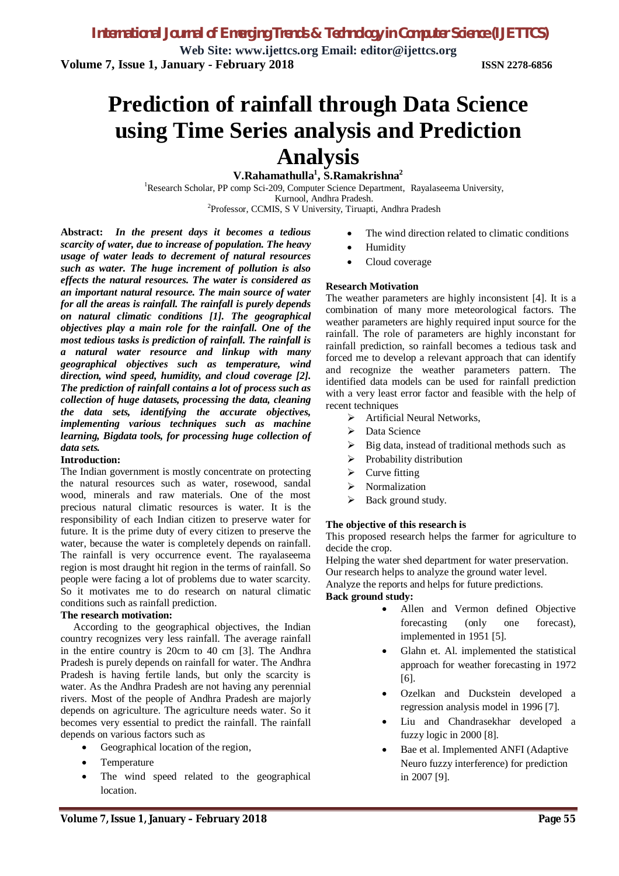**Web Site: www.ijettcs.org Email: editor@ijettcs.org Volume 7, Issue 1, January - February 2018 ISSN 2278-6856**

# **Prediction of rainfall through Data Science using Time Series analysis and Prediction Analysis**

**V.Rahamathulla<sup>1</sup> , S.Ramakrishna<sup>2</sup>**

<sup>1</sup>Research Scholar, PP comp Sci-209, Computer Science Department, Rayalaseema University, Kurnool, Andhra Pradesh. <sup>2</sup>Professor, CCMIS, S V University, Tiruapti, Andhra Pradesh

**Abstract:** *In the present days it becomes a tedious scarcity of water, due to increase of population. The heavy usage of water leads to decrement of natural resources such as water. The huge increment of pollution is also effects the natural resources. The water is considered as an important natural resource. The main source of water for all the areas is rainfall. The rainfall is purely depends on natural climatic conditions [1]. The geographical objectives play a main role for the rainfall. One of the most tedious tasks is prediction of rainfall. The rainfall is a natural water resource and linkup with many geographical objectives such as temperature, wind direction, wind speed, humidity, and cloud coverage [2]. The prediction of rainfall contains a lot of process such as collection of huge datasets, processing the data, cleaning the data sets, identifying the accurate objectives, implementing various techniques such as machine learning, Bigdata tools, for processing huge collection of data sets.* 

#### **Introduction:**

The Indian government is mostly concentrate on protecting the natural resources such as water, rosewood, sandal wood, minerals and raw materials. One of the most precious natural climatic resources is water. It is the responsibility of each Indian citizen to preserve water for future. It is the prime duty of every citizen to preserve the water, because the water is completely depends on rainfall. The rainfall is very occurrence event. The rayalaseema region is most draught hit region in the terms of rainfall. So people were facing a lot of problems due to water scarcity. So it motivates me to do research on natural climatic conditions such as rainfall prediction.

#### **The research motivation:**

 According to the geographical objectives, the Indian country recognizes very less rainfall. The average rainfall in the entire country is 20cm to 40 cm [3]. The Andhra Pradesh is purely depends on rainfall for water. The Andhra Pradesh is having fertile lands, but only the scarcity is water. As the Andhra Pradesh are not having any perennial rivers. Most of the people of Andhra Pradesh are majorly depends on agriculture. The agriculture needs water. So it becomes very essential to predict the rainfall. The rainfall depends on various factors such as

- Geographical location of the region,
- Temperature
- The wind speed related to the geographical location.
- The wind direction related to climatic conditions
- Humidity
- Cloud coverage

### **Research Motivation**

The weather parameters are highly inconsistent [4]. It is a combination of many more meteorological factors. The weather parameters are highly required input source for the rainfall. The role of parameters are highly inconstant for rainfall prediction, so rainfall becomes a tedious task and forced me to develop a relevant approach that can identify and recognize the weather parameters pattern. The identified data models can be used for rainfall prediction with a very least error factor and feasible with the help of recent techniques

- > Artificial Neural Networks,
- $\triangleright$  Data Science
- $\triangleright$  Big data, instead of traditional methods such as
- $\triangleright$  Probability distribution
- $\triangleright$  Curve fitting
- $\triangleright$  Normalization
- $\triangleright$  Back ground study.

#### **The objective of this research is**

This proposed research helps the farmer for agriculture to decide the crop.

Helping the water shed department for water preservation. Our research helps to analyze the ground water level.

Analyze the reports and helps for future predictions.

#### **Back ground study:**

- Allen and Vermon defined Objective forecasting (only one forecast), implemented in 1951 [5].
- Glahn et. Al. implemented the statistical approach for weather forecasting in 1972 [6].
- Ozelkan and Duckstein developed a regression analysis model in 1996 [7].
- Liu and Chandrasekhar developed a fuzzy logic in 2000 [8].
- Bae et al. Implemented ANFI (Adaptive Neuro fuzzy interference) for prediction in 2007 [9].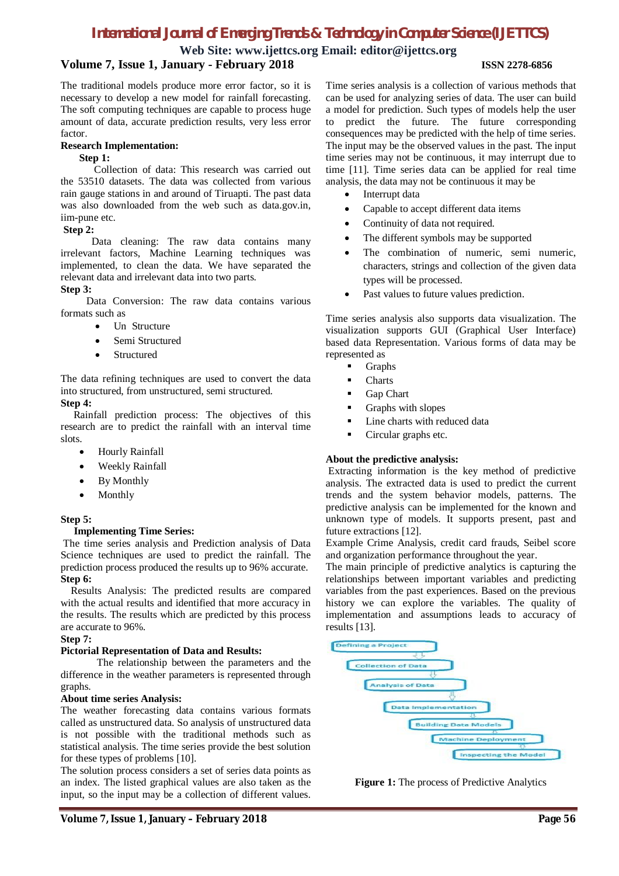# *International Journal of Emerging Trends & Technology in Computer Science (IJETTCS)*

**Web Site: www.ijettcs.org Email: editor@ijettcs.org**

## **Volume 7, Issue 1, January - February 2018 ISSN 2278-6856**

The traditional models produce more error factor, so it is necessary to develop a new model for rainfall forecasting. The soft computing techniques are capable to process huge amount of data, accurate prediction results, very less error factor.

#### **Research Implementation:**

#### **Step 1:**

 Collection of data: This research was carried out the 53510 datasets. The data was collected from various rain gauge stations in and around of Tiruapti. The past data was also downloaded from the web such as data.gov.in, iim-pune etc.

### **Step 2:**

 Data cleaning: The raw data contains many irrelevant factors, Machine Learning techniques was implemented, to clean the data. We have separated the relevant data and irrelevant data into two parts.

### **Step 3:**

 Data Conversion: The raw data contains various formats such as

- Un Structure
- Semi Structured
- Structured

The data refining techniques are used to convert the data into structured, from unstructured, semi structured. **Step 4:**

 Rainfall prediction process: The objectives of this research are to predict the rainfall with an interval time slots.

- Hourly Rainfall
- Weekly Rainfall
- By Monthly
- Monthly

#### **Step 5:**

#### **Implementing Time Series:**

The time series analysis and Prediction analysis of Data Science techniques are used to predict the rainfall. The prediction process produced the results up to 96% accurate. **Step 6:**

 Results Analysis: The predicted results are compared with the actual results and identified that more accuracy in the results. The results which are predicted by this process are accurate to 96%.

#### **Step 7:**

#### **Pictorial Representation of Data and Results:**

 The relationship between the parameters and the difference in the weather parameters is represented through graphs.

#### **About time series Analysis:**

The weather forecasting data contains various formats called as unstructured data. So analysis of unstructured data is not possible with the traditional methods such as statistical analysis. The time series provide the best solution for these types of problems [10].

The solution process considers a set of series data points as an index. The listed graphical values are also taken as the input, so the input may be a collection of different values.

Time series analysis is a collection of various methods that can be used for analyzing series of data. The user can build a model for prediction. Such types of models help the user to predict the future. The future corresponding consequences may be predicted with the help of time series. The input may be the observed values in the past. The input time series may not be continuous, it may interrupt due to time [11]. Time series data can be applied for real time analysis, the data may not be continuous it may be

- Interrupt data
- Capable to accept different data items
- Continuity of data not required.
- The different symbols may be supported
- The combination of numeric, semi numeric, characters, strings and collection of the given data types will be processed.
- Past values to future values prediction.

Time series analysis also supports data visualization. The visualization supports GUI (Graphical User Interface) based data Representation. Various forms of data may be represented as

- **Graphs**
- **Charts**
- Gap Chart
- Graphs with slopes
- Line charts with reduced data
- Circular graphs etc.

### **About the predictive analysis:**

Extracting information is the key method of predictive analysis. The extracted data is used to predict the current trends and the system behavior models, patterns. The predictive analysis can be implemented for the known and unknown type of models. It supports present, past and future extractions [12].

Example Crime Analysis, credit card frauds, Seibel score and organization performance throughout the year.

The main principle of predictive analytics is capturing the relationships between important variables and predicting variables from the past experiences. Based on the previous history we can explore the variables. The quality of implementation and assumptions leads to accuracy of results [13].



**Figure 1:** The process of Predictive Analytics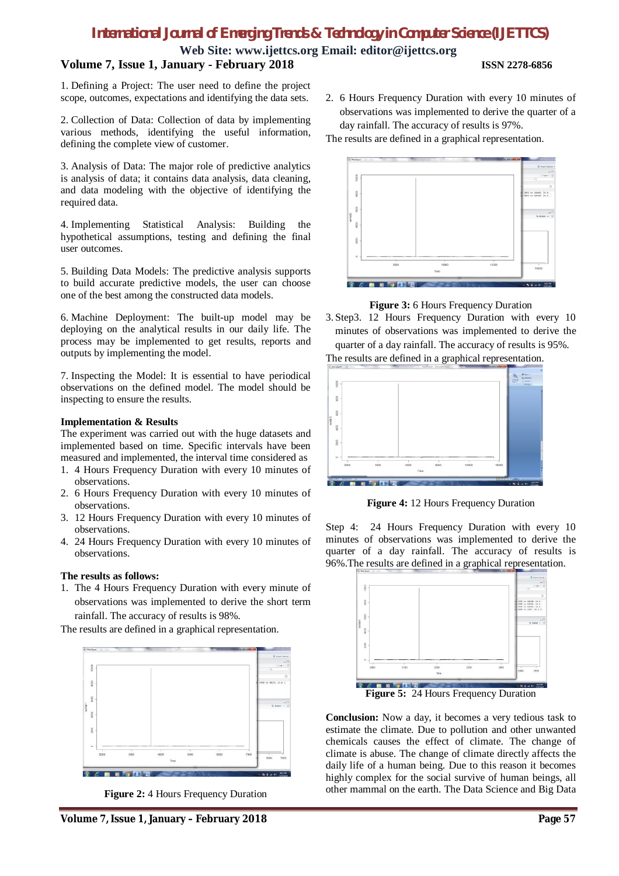# *International Journal of Emerging Trends & Technology in Computer Science (IJETTCS)*

**Web Site: www.ijettcs.org Email: editor@ijettcs.org Volume 7, Issue 1, January - February 2018 ISSN 2278-6856**

1. Defining a Project: The user need to define the project scope, outcomes, expectations and identifying the data sets.

2. Collection of Data: Collection of data by implementing various methods, identifying the useful information, defining the complete view of customer.

3. Analysis of Data: The major role of predictive analytics is analysis of data; it contains data analysis, data cleaning, and data modeling with the objective of identifying the required data.

4. Implementing Statistical Analysis: Building the hypothetical assumptions, testing and defining the final user outcomes.

5. Building Data Models: The predictive analysis supports to build accurate predictive models, the user can choose one of the best among the constructed data models.

6. Machine Deployment: The built-up model may be deploying on the analytical results in our daily life. The process may be implemented to get results, reports and outputs by implementing the model.

7. Inspecting the Model: It is essential to have periodical observations on the defined model. The model should be inspecting to ensure the results.

#### **Implementation & Results**

The experiment was carried out with the huge datasets and implemented based on time. Specific intervals have been measured and implemented, the interval time considered as

- 1. 4 Hours Frequency Duration with every 10 minutes of observations.
- 2. 6 Hours Frequency Duration with every 10 minutes of observations.
- 3. 12 Hours Frequency Duration with every 10 minutes of observations.
- 4. 24 Hours Frequency Duration with every 10 minutes of observations.

### **The results as follows:**

1. The 4 Hours Frequency Duration with every minute of observations was implemented to derive the short term rainfall. The accuracy of results is 98%.

The results are defined in a graphical representation.



**Figure 2:** 4 Hours Frequency Duration

2. 6 Hours Frequency Duration with every 10 minutes of observations was implemented to derive the quarter of a day rainfall. The accuracy of results is 97%.

The results are defined in a graphical representation.



**Figure 3:** 6 Hours Frequency Duration

3. Step3. 12 Hours Frequency Duration with every 10 minutes of observations was implemented to derive the quarter of a day rainfall. The accuracy of results is 95%. The results are defined in a graphical representation.



**Figure 4:** 12 Hours Frequency Duration

Step 4: 24 Hours Frequency Duration with every 10 minutes of observations was implemented to derive the quarter of a day rainfall. The accuracy of results is 96%.The results are defined in a graphical representation.



**Conclusion:** Now a day, it becomes a very tedious task to estimate the climate. Due to pollution and other unwanted chemicals causes the effect of climate. The change of climate is abuse. The change of climate directly affects the daily life of a human being. Due to this reason it becomes highly complex for the social survive of human beings, all other mammal on the earth. The Data Science and Big Data